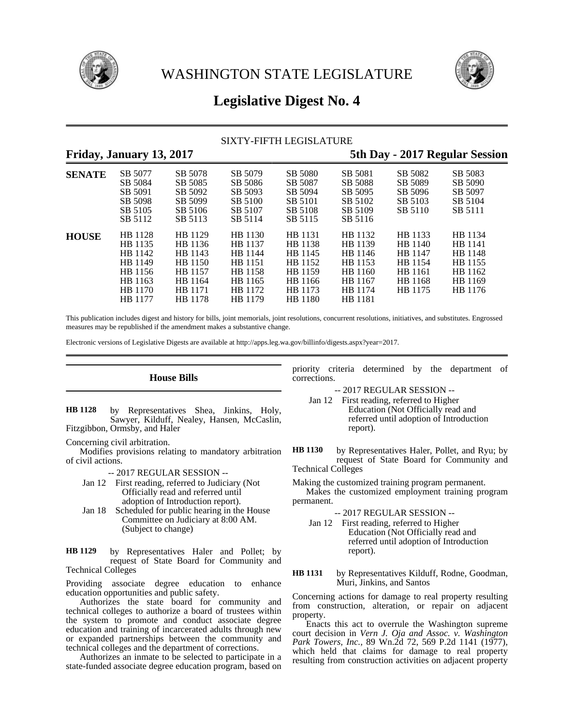



# **Legislative Digest No. 4**

# SIXTY-FIFTH LEGISLATURE

# **Friday, January 13, 2017 5th Day - 2017 Regular Session**

| <b>SENATE</b> | SB 5077<br>SB 5084                                                                   | SB 5078<br>SB 5085                                                                   | SB 5079<br>SB 5086                                                                   | SB 5080<br>SB 5087                                                                   | SB 5081<br>SB 5088                                                                          | SB 5082<br>SB 5089                                                        | SB 5083<br>SB 5090                                                        |
|---------------|--------------------------------------------------------------------------------------|--------------------------------------------------------------------------------------|--------------------------------------------------------------------------------------|--------------------------------------------------------------------------------------|---------------------------------------------------------------------------------------------|---------------------------------------------------------------------------|---------------------------------------------------------------------------|
|               | SB 5091<br>SB 5098                                                                   | SB 5092<br>SB 5099                                                                   | SB 5093<br>SB 5100                                                                   | SB 5094<br>SB 5101                                                                   | SB 5095<br>SB 5102                                                                          | SB 5096<br>SB 5103                                                        | SB 5097<br>SB 5104                                                        |
|               | SB 5105<br>SB 5112                                                                   | SB 5106<br>SB 5113                                                                   | SB 5107<br>SB 5114                                                                   | SB 5108<br>SB 5115                                                                   | SB 5109<br>SB 5116                                                                          | SB 5110                                                                   | SB 5111                                                                   |
| <b>HOUSE</b>  | HB 1128<br>HB 1135<br>HB 1142<br>HB 1149<br>HB 1156<br>HB 1163<br>HB 1170<br>HB 1177 | HB 1129<br>HB 1136<br>HB 1143<br>HB 1150<br>HB 1157<br>HB 1164<br>HB 1171<br>HB 1178 | HB 1130<br>HB 1137<br>HB 1144<br>HB 1151<br>HB 1158<br>HB 1165<br>HB 1172<br>HB 1179 | HB 1131<br>HB 1138<br>HB 1145<br>HB 1152<br>HB 1159<br>HB 1166<br>HB 1173<br>HB 1180 | HB 1132<br>HB 1139<br>HB 1146<br>HB 1153<br>HB 1160<br>HB 1167<br>HB 1174<br><b>HB</b> 1181 | HB 1133<br>HB 1140<br>HB 1147<br>HB 1154<br>HB 1161<br>HB 1168<br>HB 1175 | HB 1134<br>HB 1141<br>HB 1148<br>HB 1155<br>HB 1162<br>HB 1169<br>HB 1176 |

This publication includes digest and history for bills, joint memorials, joint resolutions, concurrent resolutions, initiatives, and substitutes. Engrossed measures may be republished if the amendment makes a substantive change.

Electronic versions of Legislative Digests are available at http://apps.leg.wa.gov/billinfo/digests.aspx?year=2017.

**House Bills**

by Representatives Shea, Jinkins, Holy, Sawyer, Kilduff, Nealey, Hansen, McCaslin, Fitzgibbon, Ormsby, and Haler **HB 1128**

Concerning civil arbitration.

Modifies provisions relating to mandatory arbitration of civil actions.

-- 2017 REGULAR SESSION --

- Jan 12 First reading, referred to Judiciary (Not Officially read and referred until adoption of Introduction report).
- Jan 18 Scheduled for public hearing in the House Committee on Judiciary at 8:00 AM. (Subject to change)

by Representatives Haler and Pollet; by request of State Board for Community and Technical Colleges **HB 1129**

Providing associate degree education to enhance education opportunities and public safety.

Authorizes the state board for community and technical colleges to authorize a board of trustees within the system to promote and conduct associate degree education and training of incarcerated adults through new or expanded partnerships between the community and technical colleges and the department of corrections.

Authorizes an inmate to be selected to participate in a state-funded associate degree education program, based on priority criteria determined by the department of corrections.

-- 2017 REGULAR SESSION --

- Jan 12 First reading, referred to Higher Education (Not Officially read and referred until adoption of Introduction report).
- by Representatives Haler, Pollet, and Ryu; by request of State Board for Community and Technical Colleges **HB 1130**

Making the customized training program permanent.

Makes the customized employment training program permanent.

-- 2017 REGULAR SESSION --

- Jan 12 First reading, referred to Higher Education (Not Officially read and referred until adoption of Introduction report).
- by Representatives Kilduff, Rodne, Goodman, Muri, Jinkins, and Santos **HB 1131**

Concerning actions for damage to real property resulting from construction, alteration, or repair on adjacent property.

Enacts this act to overrule the Washington supreme court decision in *Vern J. Oja and Assoc. v. Washington Park Towers, Inc.,* 89 Wn.2d 72, 569 P.2d 1141 (1977), which held that claims for damage to real property resulting from construction activities on adjacent property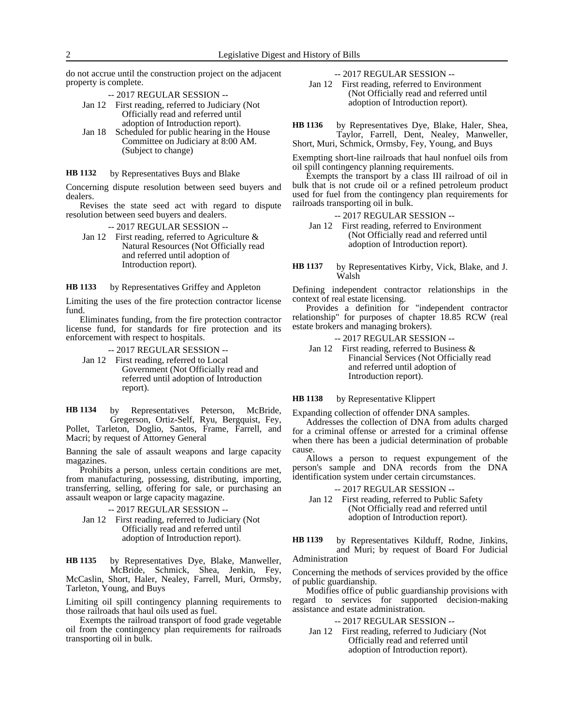do not accrue until the construction project on the adjacent property is complete.

-- 2017 REGULAR SESSION --

- Jan 12 First reading, referred to Judiciary (Not Officially read and referred until adoption of Introduction report).
- Jan 18 Scheduled for public hearing in the House Committee on Judiciary at 8:00 AM. (Subject to change)

### by Representatives Buys and Blake **HB 1132**

Concerning dispute resolution between seed buyers and dealers.

Revises the state seed act with regard to dispute resolution between seed buyers and dealers.

-- 2017 REGULAR SESSION --

Jan 12 First reading, referred to Agriculture & Natural Resources (Not Officially read and referred until adoption of Introduction report).

by Representatives Griffey and Appleton **HB 1133**

Limiting the uses of the fire protection contractor license fund.

Eliminates funding, from the fire protection contractor license fund, for standards for fire protection and its enforcement with respect to hospitals.

-- 2017 REGULAR SESSION --

Jan 12 First reading, referred to Local Government (Not Officially read and referred until adoption of Introduction report).

by Representatives Peterson, McBride, Gregerson, Ortiz-Self, Ryu, Bergquist, Fey, Pollet, Tarleton, Doglio, Santos, Frame, Farrell, and Macri; by request of Attorney General **HB 1134**

Banning the sale of assault weapons and large capacity magazines.

Prohibits a person, unless certain conditions are met, from manufacturing, possessing, distributing, importing, transferring, selling, offering for sale, or purchasing an assault weapon or large capacity magazine.

-- 2017 REGULAR SESSION --

Jan 12 First reading, referred to Judiciary (Not Officially read and referred until adoption of Introduction report).

by Representatives Dye, Blake, Manweller, McBride, Schmick, Shea, Jenkin, Fey, McCaslin, Short, Haler, Nealey, Farrell, Muri, Ormsby, Tarleton, Young, and Buys **HB 1135**

Limiting oil spill contingency planning requirements to those railroads that haul oils used as fuel.

Exempts the railroad transport of food grade vegetable oil from the contingency plan requirements for railroads transporting oil in bulk.

-- 2017 REGULAR SESSION --

Jan 12 First reading, referred to Environment (Not Officially read and referred until adoption of Introduction report).

by Representatives Dye, Blake, Haler, Shea, Taylor, Farrell, Dent, Nealey, Manweller, Short, Muri, Schmick, Ormsby, Fey, Young, and Buys **HB 1136**

Exempting short-line railroads that haul nonfuel oils from oil spill contingency planning requirements.

Exempts the transport by a class III railroad of oil in bulk that is not crude oil or a refined petroleum product used for fuel from the contingency plan requirements for railroads transporting oil in bulk.

-- 2017 REGULAR SESSION --

- Jan 12 First reading, referred to Environment (Not Officially read and referred until adoption of Introduction report).
- by Representatives Kirby, Vick, Blake, and J. Walsh **HB 1137**

Defining independent contractor relationships in the context of real estate licensing.

Provides a definition for "independent contractor relationship" for purposes of chapter 18.85 RCW (real estate brokers and managing brokers).

-- 2017 REGULAR SESSION --

Jan 12 First reading, referred to Business & Financial Services (Not Officially read and referred until adoption of Introduction report).

## by Representative Klippert **HB 1138**

Expanding collection of offender DNA samples.

Addresses the collection of DNA from adults charged for a criminal offense or arrested for a criminal offense when there has been a judicial determination of probable cause.

Allows a person to request expungement of the person's sample and DNA records from the DNA identification system under certain circumstances.

-- 2017 REGULAR SESSION --

Jan 12 First reading, referred to Public Safety (Not Officially read and referred until adoption of Introduction report).

by Representatives Kilduff, Rodne, Jinkins, and Muri; by request of Board For Judicial Administration **HB 1139**

Concerning the methods of services provided by the office of public guardianship.

Modifies office of public guardianship provisions with regard to services for supported decision-making assistance and estate administration.

-- 2017 REGULAR SESSION --

Jan 12 First reading, referred to Judiciary (Not Officially read and referred until adoption of Introduction report).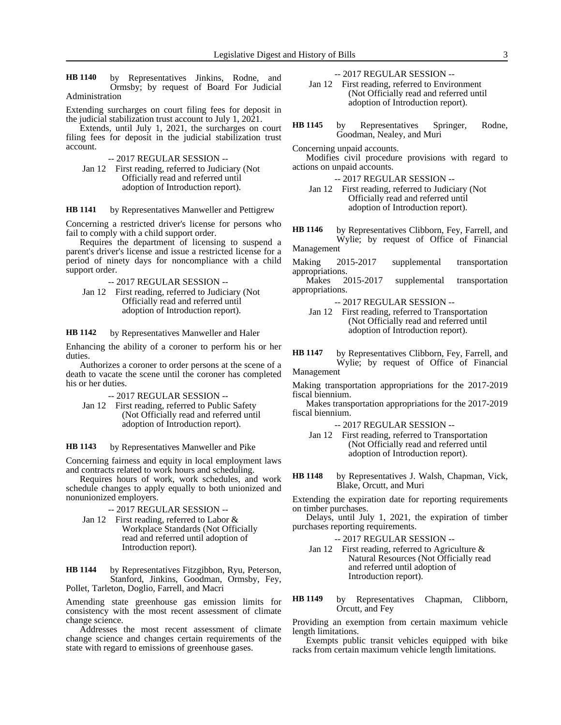by Representatives Jinkins, Rodne, and Ormsby; by request of Board For Judicial Administration **HB 1140**

Extending surcharges on court filing fees for deposit in the judicial stabilization trust account to July 1, 2021.

Extends, until July 1, 2021, the surcharges on court filing fees for deposit in the judicial stabilization trust account.

-- 2017 REGULAR SESSION --

Jan 12 First reading, referred to Judiciary (Not Officially read and referred until adoption of Introduction report).

by Representatives Manweller and Pettigrew **HB 1141**

Concerning a restricted driver's license for persons who fail to comply with a child support order.

Requires the department of licensing to suspend a parent's driver's license and issue a restricted license for a period of ninety days for noncompliance with a child support order.

- -- 2017 REGULAR SESSION --
- Jan 12 First reading, referred to Judiciary (Not Officially read and referred until adoption of Introduction report).

by Representatives Manweller and Haler **HB 1142**

Enhancing the ability of a coroner to perform his or her duties.

Authorizes a coroner to order persons at the scene of a death to vacate the scene until the coroner has completed his or her duties.

-- 2017 REGULAR SESSION --

Jan 12 First reading, referred to Public Safety (Not Officially read and referred until adoption of Introduction report).

by Representatives Manweller and Pike **HB 1143**

Concerning fairness and equity in local employment laws and contracts related to work hours and scheduling.

Requires hours of work, work schedules, and work schedule changes to apply equally to both unionized and nonunionized employers.

- -- 2017 REGULAR SESSION --
- Jan 12 First reading, referred to Labor & Workplace Standards (Not Officially read and referred until adoption of Introduction report).

by Representatives Fitzgibbon, Ryu, Peterson, Stanford, Jinkins, Goodman, Ormsby, Fey, Pollet, Tarleton, Doglio, Farrell, and Macri **HB 1144**

Amending state greenhouse gas emission limits for consistency with the most recent assessment of climate change science.

Addresses the most recent assessment of climate change science and changes certain requirements of the state with regard to emissions of greenhouse gases.

-- 2017 REGULAR SESSION --

Jan 12 First reading, referred to Environment (Not Officially read and referred until adoption of Introduction report).

by Representatives Springer, Rodne, Goodman, Nealey, and Muri **HB 1145**

Concerning unpaid accounts.

Modifies civil procedure provisions with regard to actions on unpaid accounts.

-- 2017 REGULAR SESSION --

Jan 12 First reading, referred to Judiciary (Not Officially read and referred until adoption of Introduction report).

by Representatives Clibborn, Fey, Farrell, and Wylie; by request of Office of Financial Management **HB 1146**

Making 2015-2017 supplemental transportation

appropriations.<br>Makes 2015-2017 supplemental transportation appropriations.

- -- 2017 REGULAR SESSION --
- Jan 12 First reading, referred to Transportation (Not Officially read and referred until adoption of Introduction report).

by Representatives Clibborn, Fey, Farrell, and Wylie; by request of Office of Financial Management **HB 1147**

Making transportation appropriations for the 2017-2019 fiscal biennium.

Makes transportation appropriations for the 2017-2019 fiscal biennium.

-- 2017 REGULAR SESSION --

- Jan 12 First reading, referred to Transportation (Not Officially read and referred until adoption of Introduction report).
- by Representatives J. Walsh, Chapman, Vick, Blake, Orcutt, and Muri **HB 1148**

Extending the expiration date for reporting requirements on timber purchases.

Delays, until July 1, 2021, the expiration of timber purchases reporting requirements.

-- 2017 REGULAR SESSION --

- Jan 12 First reading, referred to Agriculture & Natural Resources (Not Officially read and referred until adoption of Introduction report).
- by Representatives Chapman, Clibborn, Orcutt, and Fey **HB 1149**

Providing an exemption from certain maximum vehicle length limitations.

Exempts public transit vehicles equipped with bike racks from certain maximum vehicle length limitations.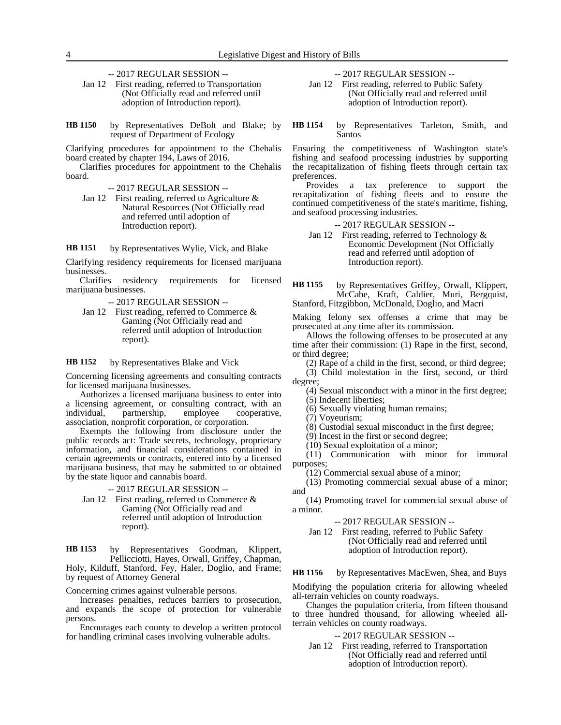-- 2017 REGULAR SESSION --

Jan 12 First reading, referred to Transportation (Not Officially read and referred until adoption of Introduction report).

by Representatives DeBolt and Blake; by request of Department of Ecology **HB 1150**

Clarifying procedures for appointment to the Chehalis board created by chapter 194, Laws of 2016.

Clarifies procedures for appointment to the Chehalis board.

-- 2017 REGULAR SESSION --

Jan 12 First reading, referred to Agriculture & Natural Resources (Not Officially read and referred until adoption of Introduction report).

by Representatives Wylie, Vick, and Blake **HB 1151**

Clarifying residency requirements for licensed marijuana businesses.<br>Clarifies

residency requirements for licensed marijuana businesses.

-- 2017 REGULAR SESSION --

Jan 12 First reading, referred to Commerce & Gaming (Not Officially read and referred until adoption of Introduction report).

by Representatives Blake and Vick **HB 1152**

Concerning licensing agreements and consulting contracts for licensed marijuana businesses.

Authorizes a licensed marijuana business to enter into a licensing agreement, or consulting contract, with an individual, partnership, employee cooperative, association, nonprofit corporation, or corporation.

Exempts the following from disclosure under the public records act: Trade secrets, technology, proprietary information, and financial considerations contained in certain agreements or contracts, entered into by a licensed marijuana business, that may be submitted to or obtained by the state liquor and cannabis board.

-- 2017 REGULAR SESSION --

Jan 12 First reading, referred to Commerce & Gaming (Not Officially read and referred until adoption of Introduction report).

by Representatives Goodman, Klippert, Pellicciotti, Hayes, Orwall, Griffey, Chapman, Holy, Kilduff, Stanford, Fey, Haler, Doglio, and Frame; by request of Attorney General **HB 1153**

Concerning crimes against vulnerable persons.

Increases penalties, reduces barriers to prosecution, and expands the scope of protection for vulnerable persons.

Encourages each county to develop a written protocol for handling criminal cases involving vulnerable adults.

-- 2017 REGULAR SESSION --

- Jan 12 First reading, referred to Public Safety (Not Officially read and referred until adoption of Introduction report).
- by Representatives Tarleton, Smith, and Santos **HB 1154**

Ensuring the competitiveness of Washington state's fishing and seafood processing industries by supporting the recapitalization of fishing fleets through certain tax preferences.

Provides a tax preference to support the recapitalization of fishing fleets and to ensure the continued competitiveness of the state's maritime, fishing, and seafood processing industries.

-- 2017 REGULAR SESSION --

Jan 12 First reading, referred to Technology & Economic Development (Not Officially read and referred until adoption of Introduction report).

by Representatives Griffey, Orwall, Klippert, McCabe, Kraft, Caldier, Muri, Bergquist, Stanford, Fitzgibbon, McDonald, Doglio, and Macri **HB 1155**

Making felony sex offenses a crime that may be prosecuted at any time after its commission.

Allows the following offenses to be prosecuted at any time after their commission: (1) Rape in the first, second, or third degree;

(2) Rape of a child in the first, second, or third degree;

(3) Child molestation in the first, second, or third degree;

(4) Sexual misconduct with a minor in the first degree; (5) Indecent liberties;

(6) Sexually violating human remains;

(7) Voyeurism;

(8) Custodial sexual misconduct in the first degree;

(9) Incest in the first or second degree;

(10) Sexual exploitation of a minor;

(11) Communication with minor for immoral purposes;

(12) Commercial sexual abuse of a minor;

(13) Promoting commercial sexual abuse of a minor; and

(14) Promoting travel for commercial sexual abuse of a minor.

## -- 2017 REGULAR SESSION --

Jan 12 First reading, referred to Public Safety (Not Officially read and referred until adoption of Introduction report).

by Representatives MacEwen, Shea, and Buys **HB 1156**

Modifying the population criteria for allowing wheeled all-terrain vehicles on county roadways.

Changes the population criteria, from fifteen thousand to three hundred thousand, for allowing wheeled allterrain vehicles on county roadways.

-- 2017 REGULAR SESSION --

Jan 12 First reading, referred to Transportation (Not Officially read and referred until adoption of Introduction report).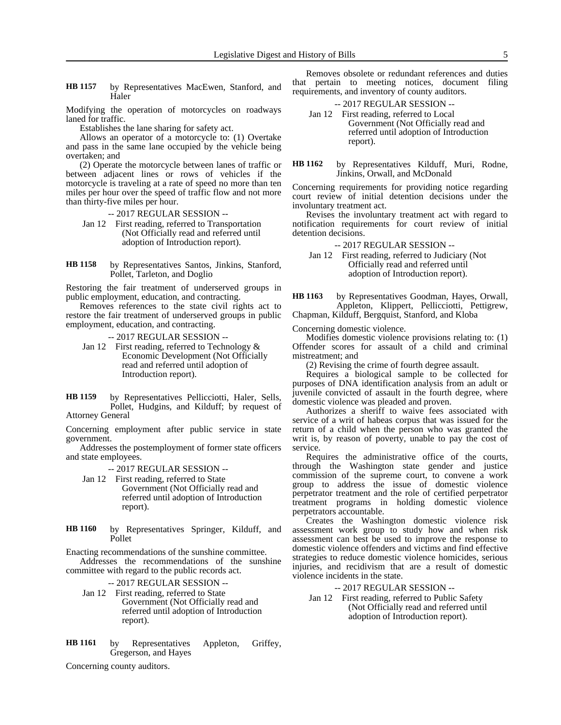by Representatives MacEwen, Stanford, and Haler **HB 1157**

Modifying the operation of motorcycles on roadways laned for traffic.

Establishes the lane sharing for safety act.

Allows an operator of a motorcycle to: (1) Overtake and pass in the same lane occupied by the vehicle being overtaken; and

(2) Operate the motorcycle between lanes of traffic or between adjacent lines or rows of vehicles if the motorcycle is traveling at a rate of speed no more than ten miles per hour over the speed of traffic flow and not more than thirty-five miles per hour.

-- 2017 REGULAR SESSION --

- Jan 12 First reading, referred to Transportation (Not Officially read and referred until adoption of Introduction report).
- by Representatives Santos, Jinkins, Stanford, Pollet, Tarleton, and Doglio **HB 1158**

Restoring the fair treatment of underserved groups in public employment, education, and contracting.

Removes references to the state civil rights act to restore the fair treatment of underserved groups in public employment, education, and contracting.

-- 2017 REGULAR SESSION --

Jan 12 First reading, referred to Technology & Economic Development (Not Officially read and referred until adoption of Introduction report).

by Representatives Pellicciotti, Haler, Sells, Pollet, Hudgins, and Kilduff; by request of Attorney General **HB 1159**

Concerning employment after public service in state government.

Addresses the postemployment of former state officers and state employees.

-- 2017 REGULAR SESSION --

- Jan 12 First reading, referred to State Government (Not Officially read and referred until adoption of Introduction report).
- by Representatives Springer, Kilduff, and Pollet **HB 1160**

Enacting recommendations of the sunshine committee.

Addresses the recommendations of the sunshine committee with regard to the public records act.

-- 2017 REGULAR SESSION --

- Jan 12 First reading, referred to State Government (Not Officially read and referred until adoption of Introduction report).
- by Representatives Appleton, Griffey, Gregerson, and Hayes **HB 1161**

Concerning county auditors.

Removes obsolete or redundant references and duties that pertain to meeting notices, document filing requirements, and inventory of county auditors.

| $-2017$ REGULAR SESSION $-$             |
|-----------------------------------------|
| Jan 12 First reading, referred to Local |
| Government (Not Officially read and     |
| referred until adoption of Introduction |
| report).                                |

by Representatives Kilduff, Muri, Rodne, Jinkins, Orwall, and McDonald **HB 1162**

Concerning requirements for providing notice regarding court review of initial detention decisions under the involuntary treatment act.

Revises the involuntary treatment act with regard to notification requirements for court review of initial detention decisions.

-- 2017 REGULAR SESSION --

Jan 12 First reading, referred to Judiciary (Not Officially read and referred until adoption of Introduction report).

by Representatives Goodman, Hayes, Orwall, Appleton, Klippert, Pellicciotti, Pettigrew, Chapman, Kilduff, Bergquist, Stanford, and Kloba **HB 1163**

Concerning domestic violence.

Modifies domestic violence provisions relating to: (1) Offender scores for assault of a child and criminal mistreatment; and

(2) Revising the crime of fourth degree assault.

Requires a biological sample to be collected for purposes of DNA identification analysis from an adult or juvenile convicted of assault in the fourth degree, where domestic violence was pleaded and proven.

Authorizes a sheriff to waive fees associated with service of a writ of habeas corpus that was issued for the return of a child when the person who was granted the writ is, by reason of poverty, unable to pay the cost of service.

Requires the administrative office of the courts, through the Washington state gender and justice commission of the supreme court, to convene a work group to address the issue of domestic violence perpetrator treatment and the role of certified perpetrator treatment programs in holding domestic violence perpetrators accountable.

Creates the Washington domestic violence risk assessment work group to study how and when risk assessment can best be used to improve the response to domestic violence offenders and victims and find effective strategies to reduce domestic violence homicides, serious injuries, and recidivism that are a result of domestic violence incidents in the state.

-- 2017 REGULAR SESSION --

Jan 12 First reading, referred to Public Safety (Not Officially read and referred until adoption of Introduction report).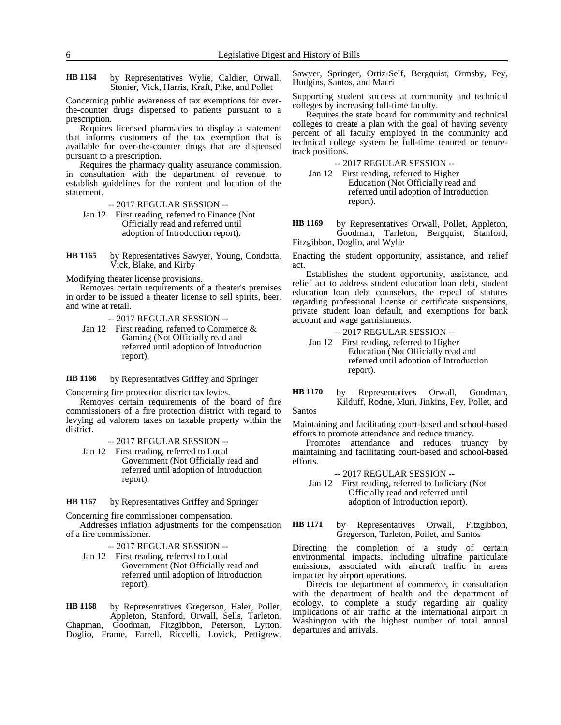by Representatives Wylie, Caldier, Orwall, Stonier, Vick, Harris, Kraft, Pike, and Pollet **HB 1164**

Concerning public awareness of tax exemptions for overthe-counter drugs dispensed to patients pursuant to a prescription.

Requires licensed pharmacies to display a statement that informs customers of the tax exemption that is available for over-the-counter drugs that are dispensed pursuant to a prescription.

Requires the pharmacy quality assurance commission, in consultation with the department of revenue, to establish guidelines for the content and location of the statement.

- -- 2017 REGULAR SESSION --
- Jan 12 First reading, referred to Finance (Not Officially read and referred until adoption of Introduction report).
- by Representatives Sawyer, Young, Condotta, Vick, Blake, and Kirby **HB 1165**

Modifying theater license provisions.

Removes certain requirements of a theater's premises in order to be issued a theater license to sell spirits, beer, and wine at retail.

- -- 2017 REGULAR SESSION --
- Jan 12 First reading, referred to Commerce & Gaming (Not Officially read and referred until adoption of Introduction report).

by Representatives Griffey and Springer **HB 1166**

Concerning fire protection district tax levies.

Removes certain requirements of the board of fire commissioners of a fire protection district with regard to levying ad valorem taxes on taxable property within the district.

-- 2017 REGULAR SESSION --

Jan 12 First reading, referred to Local Government (Not Officially read and referred until adoption of Introduction report).

by Representatives Griffey and Springer **HB 1167**

Concerning fire commissioner compensation.

Addresses inflation adjustments for the compensation of a fire commissioner.

-- 2017 REGULAR SESSION --

Jan 12 First reading, referred to Local Government (Not Officially read and referred until adoption of Introduction report).

by Representatives Gregerson, Haler, Pollet, Appleton, Stanford, Orwall, Sells, Tarleton, Chapman, Goodman, Fitzgibbon, Peterson, Lytton, Doglio, Frame, Farrell, Riccelli, Lovick, Pettigrew, **HB 1168**

Sawyer, Springer, Ortiz-Self, Bergquist, Ormsby, Fey, Hudgins, Santos, and Macri

Supporting student success at community and technical colleges by increasing full-time faculty.

Requires the state board for community and technical colleges to create a plan with the goal of having seventy percent of all faculty employed in the community and technical college system be full-time tenured or tenuretrack positions.

-- 2017 REGULAR SESSION --

Jan 12 First reading, referred to Higher Education (Not Officially read and referred until adoption of Introduction report).

by Representatives Orwall, Pollet, Appleton, Goodman, Tarleton, Bergquist, Stanford, Fitzgibbon, Doglio, and Wylie **HB 1169**

Enacting the student opportunity, assistance, and relief act.

Establishes the student opportunity, assistance, and relief act to address student education loan debt, student education loan debt counselors, the repeal of statutes regarding professional license or certificate suspensions, private student loan default, and exemptions for bank account and wage garnishments.

```
-- 2017 REGULAR SESSION --
Jan 12 First reading, referred to Higher 
          Education (Not Officially read and 
          referred until adoption of Introduction
```
report).

by Representatives Orwall, Goodman, Kilduff, Rodne, Muri, Jinkins, Fey, Pollet, and Santos **HB 1170**

Maintaining and facilitating court-based and school-based efforts to promote attendance and reduce truancy.

Promotes attendance and reduces truancy by maintaining and facilitating court-based and school-based efforts.

-- 2017 REGULAR SESSION --

Jan 12 First reading, referred to Judiciary (Not Officially read and referred until adoption of Introduction report).

by Representatives Orwall, Fitzgibbon, Gregerson, Tarleton, Pollet, and Santos **HB 1171**

Directing the completion of a study of certain environmental impacts, including ultrafine particulate emissions, associated with aircraft traffic in areas impacted by airport operations.

Directs the department of commerce, in consultation with the department of health and the department of ecology, to complete a study regarding air quality implications of air traffic at the international airport in Washington with the highest number of total annual departures and arrivals.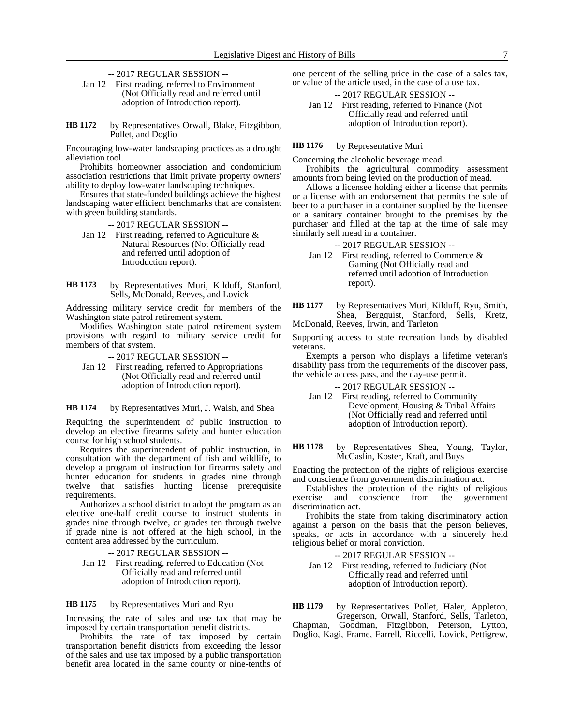- -- 2017 REGULAR SESSION --
- Jan 12 First reading, referred to Environment (Not Officially read and referred until adoption of Introduction report).

by Representatives Orwall, Blake, Fitzgibbon, Pollet, and Doglio **HB 1172**

Encouraging low-water landscaping practices as a drought alleviation tool.

Prohibits homeowner association and condominium association restrictions that limit private property owners' ability to deploy low-water landscaping techniques.

Ensures that state-funded buildings achieve the highest landscaping water efficient benchmarks that are consistent with green building standards.

-- 2017 REGULAR SESSION --

- Jan 12 First reading, referred to Agriculture & Natural Resources (Not Officially read and referred until adoption of Introduction report).
- by Representatives Muri, Kilduff, Stanford, Sells, McDonald, Reeves, and Lovick **HB 1173**

Addressing military service credit for members of the Washington state patrol retirement system.

Modifies Washington state patrol retirement system provisions with regard to military service credit for members of that system.

- -- 2017 REGULAR SESSION --
- Jan 12 First reading, referred to Appropriations (Not Officially read and referred until adoption of Introduction report).

by Representatives Muri, J. Walsh, and Shea **HB 1174**

Requiring the superintendent of public instruction to develop an elective firearms safety and hunter education course for high school students.

Requires the superintendent of public instruction, in consultation with the department of fish and wildlife, to develop a program of instruction for firearms safety and hunter education for students in grades nine through twelve that satisfies hunting license prerequisite requirements.

Authorizes a school district to adopt the program as an elective one-half credit course to instruct students in grades nine through twelve, or grades ten through twelve if grade nine is not offered at the high school, in the content area addressed by the curriculum.

-- 2017 REGULAR SESSION --

Jan 12 First reading, referred to Education (Not Officially read and referred until adoption of Introduction report).

by Representatives Muri and Ryu **HB 1175**

Increasing the rate of sales and use tax that may be imposed by certain transportation benefit districts.

Prohibits the rate of tax imposed by certain transportation benefit districts from exceeding the lessor of the sales and use tax imposed by a public transportation benefit area located in the same county or nine-tenths of one percent of the selling price in the case of a sales tax, or value of the article used, in the case of a use tax.

-- 2017 REGULAR SESSION -- Jan 12 First reading, referred to Finance (Not Officially read and referred until

adoption of Introduction report).

by Representative Muri **HB 1176**

Concerning the alcoholic beverage mead.

Prohibits the agricultural commodity assessment amounts from being levied on the production of mead.

Allows a licensee holding either a license that permits or a license with an endorsement that permits the sale of beer to a purchaser in a container supplied by the licensee or a sanitary container brought to the premises by the purchaser and filled at the tap at the time of sale may similarly sell mead in a container.

-- 2017 REGULAR SESSION --

- Jan 12 First reading, referred to Commerce & Gaming (Not Officially read and referred until adoption of Introduction report).
- by Representatives Muri, Kilduff, Ryu, Smith, Shea, Bergquist, Stanford, Sells, Kretz, McDonald, Reeves, Irwin, and Tarleton **HB 1177**

Supporting access to state recreation lands by disabled veterans.

Exempts a person who displays a lifetime veteran's disability pass from the requirements of the discover pass, the vehicle access pass, and the day-use permit.

-- 2017 REGULAR SESSION --

Jan 12 First reading, referred to Community Development, Housing & Tribal Affairs (Not Officially read and referred until adoption of Introduction report).

by Representatives Shea, Young, Taylor, McCaslin, Koster, Kraft, and Buys **HB 1178**

Enacting the protection of the rights of religious exercise and conscience from government discrimination act.

Establishes the protection of the rights of religious exercise and conscience from the government discrimination act.

Prohibits the state from taking discriminatory action against a person on the basis that the person believes, speaks, or acts in accordance with a sincerely held religious belief or moral conviction.

-- 2017 REGULAR SESSION --

Jan 12 First reading, referred to Judiciary (Not Officially read and referred until adoption of Introduction report).

by Representatives Pollet, Haler, Appleton, Gregerson, Orwall, Stanford, Sells, Tarleton, Chapman, Goodman, Fitzgibbon, Peterson, Lytton, Doglio, Kagi, Frame, Farrell, Riccelli, Lovick, Pettigrew, **HB 1179**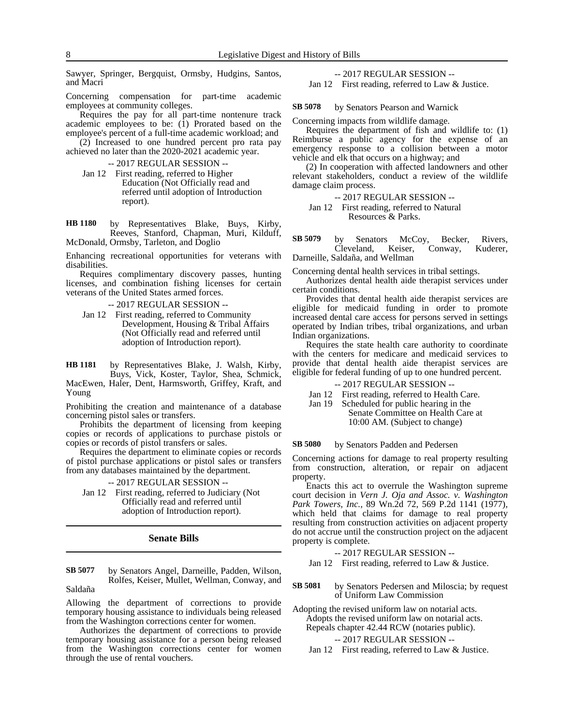Sawyer, Springer, Bergquist, Ormsby, Hudgins, Santos, and Macri

Concerning compensation for part-time academic employees at community colleges.

Requires the pay for all part-time nontenure track academic employees to be: (1) Prorated based on the employee's percent of a full-time academic workload; and

(2) Increased to one hundred percent pro rata pay achieved no later than the 2020-2021 academic year.

-- 2017 REGULAR SESSION --

Jan 12 First reading, referred to Higher Education (Not Officially read and referred until adoption of Introduction report).

by Representatives Blake, Buys, Kirby, Reeves, Stanford, Chapman, Muri, Kilduff, McDonald, Ormsby, Tarleton, and Doglio **HB 1180**

Enhancing recreational opportunities for veterans with disabilities.

Requires complimentary discovery passes, hunting licenses, and combination fishing licenses for certain veterans of the United States armed forces.

-- 2017 REGULAR SESSION --

Jan 12 First reading, referred to Community Development, Housing & Tribal Affairs (Not Officially read and referred until adoption of Introduction report).

by Representatives Blake, J. Walsh, Kirby, Buys, Vick, Koster, Taylor, Shea, Schmick, MacEwen, Haler, Dent, Harmsworth, Griffey, Kraft, and Young **HB 1181**

Prohibiting the creation and maintenance of a database concerning pistol sales or transfers.

Prohibits the department of licensing from keeping copies or records of applications to purchase pistols or copies or records of pistol transfers or sales.

Requires the department to eliminate copies or records of pistol purchase applications or pistol sales or transfers from any databases maintained by the department.

## -- 2017 REGULAR SESSION --

Jan 12 First reading, referred to Judiciary (Not Officially read and referred until adoption of Introduction report).

## **Senate Bills**

by Senators Angel, Darneille, Padden, Wilson, Rolfes, Keiser, Mullet, Wellman, Conway, and **SB 5077**

Saldaña

Allowing the department of corrections to provide temporary housing assistance to individuals being released from the Washington corrections center for women.

Authorizes the department of corrections to provide temporary housing assistance for a person being released from the Washington corrections center for women through the use of rental vouchers.

-- 2017 REGULAR SESSION --

Jan 12 First reading, referred to Law & Justice.

by Senators Pearson and Warnick **SB 5078**

Concerning impacts from wildlife damage.

Requires the department of fish and wildlife to: (1) Reimburse a public agency for the expense of an emergency response to a collision between a motor vehicle and elk that occurs on a highway; and

(2) In cooperation with affected landowners and other relevant stakeholders, conduct a review of the wildlife damage claim process.

-- 2017 REGULAR SESSION --

Jan 12 First reading, referred to Natural Resources & Parks.

by Senators McCoy, Becker, Rivers, Cleveland, Keiser, Conway, Kuderer, Darneille, Saldaña, and Wellman **SB 5079**

Concerning dental health services in tribal settings.

Authorizes dental health aide therapist services under certain conditions.

Provides that dental health aide therapist services are eligible for medicaid funding in order to promote increased dental care access for persons served in settings operated by Indian tribes, tribal organizations, and urban Indian organizations.

Requires the state health care authority to coordinate with the centers for medicare and medicaid services to provide that dental health aide therapist services are eligible for federal funding of up to one hundred percent.

-- 2017 REGULAR SESSION --

- Jan 12 First reading, referred to Health Care.
- Jan 19 Scheduled for public hearing in the Senate Committee on Health Care at 10:00 AM. (Subject to change)

by Senators Padden and Pedersen **SB 5080**

Concerning actions for damage to real property resulting from construction, alteration, or repair on adjacent property.

Enacts this act to overrule the Washington supreme court decision in *Vern J. Oja and Assoc. v. Washington Park Towers, Inc.,* 89 Wn.2d 72, 569 P.2d 1141 (1977), which held that claims for damage to real property resulting from construction activities on adjacent property do not accrue until the construction project on the adjacent property is complete.

-- 2017 REGULAR SESSION --

Jan 12 First reading, referred to Law & Justice.

by Senators Pedersen and Miloscia; by request of Uniform Law Commission **SB 5081**

Adopting the revised uniform law on notarial acts. Adopts the revised uniform law on notarial acts. Repeals chapter 42.44 RCW (notaries public).

-- 2017 REGULAR SESSION --

Jan 12 First reading, referred to Law & Justice.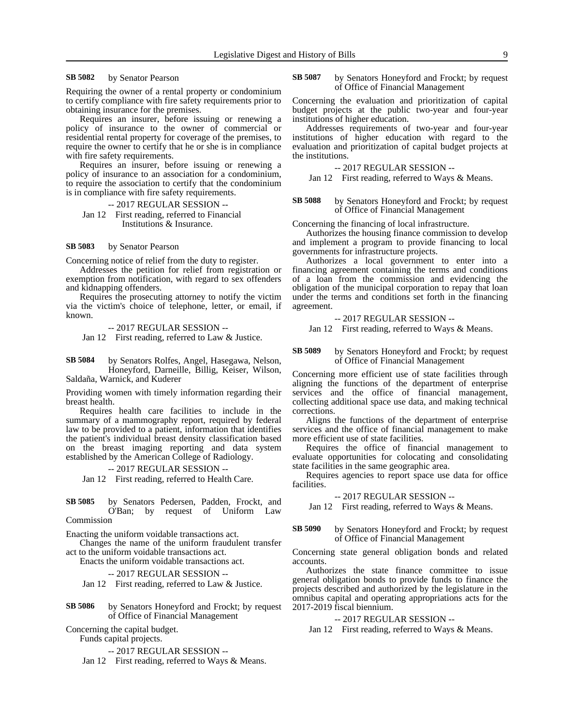### by Senator Pearson **SB 5082**

Requiring the owner of a rental property or condominium to certify compliance with fire safety requirements prior to obtaining insurance for the premises.

Requires an insurer, before issuing or renewing a policy of insurance to the owner of commercial or residential rental property for coverage of the premises, to require the owner to certify that he or she is in compliance with fire safety requirements.

Requires an insurer, before issuing or renewing a policy of insurance to an association for a condominium, to require the association to certify that the condominium is in compliance with fire safety requirements.

-- 2017 REGULAR SESSION --

Jan 12 First reading, referred to Financial Institutions & Insurance.

### by Senator Pearson **SB 5083**

Concerning notice of relief from the duty to register.

Addresses the petition for relief from registration or exemption from notification, with regard to sex offenders and kidnapping offenders.

Requires the prosecuting attorney to notify the victim via the victim's choice of telephone, letter, or email, if known.

-- 2017 REGULAR SESSION --

Jan 12 First reading, referred to Law & Justice.

by Senators Rolfes, Angel, Hasegawa, Nelson, Honeyford, Darneille, Billig, Keiser, Wilson, Saldaña, Warnick, and Kuderer **SB 5084**

Providing women with timely information regarding their breast health.

Requires health care facilities to include in the summary of a mammography report, required by federal law to be provided to a patient, information that identifies the patient's individual breast density classification based on the breast imaging reporting and data system established by the American College of Radiology.

-- 2017 REGULAR SESSION -- Jan 12 First reading, referred to Health Care.

by Senators Pedersen, Padden, Frockt, and O'Ban; by request of Uniform Law Commission **SB 5085**

Enacting the uniform voidable transactions act.

Changes the name of the uniform fraudulent transfer act to the uniform voidable transactions act.

Enacts the uniform voidable transactions act.

-- 2017 REGULAR SESSION --

Jan 12 First reading, referred to Law & Justice.

by Senators Honeyford and Frockt; by request of Office of Financial Management **SB 5086**

Concerning the capital budget.

Funds capital projects.

-- 2017 REGULAR SESSION --

Jan 12 First reading, referred to Ways & Means.

by Senators Honeyford and Frockt; by request of Office of Financial Management **SB 5087**

Concerning the evaluation and prioritization of capital budget projects at the public two-year and four-year institutions of higher education.

Addresses requirements of two-year and four-year institutions of higher education with regard to the evaluation and prioritization of capital budget projects at the institutions.

-- 2017 REGULAR SESSION --

Jan 12 First reading, referred to Ways & Means.

## by Senators Honeyford and Frockt; by request of Office of Financial Management **SB 5088**

Concerning the financing of local infrastructure.

Authorizes the housing finance commission to develop and implement a program to provide financing to local governments for infrastructure projects.

Authorizes a local government to enter into a financing agreement containing the terms and conditions of a loan from the commission and evidencing the obligation of the municipal corporation to repay that loan under the terms and conditions set forth in the financing agreement.

# -- 2017 REGULAR SESSION --

Jan 12 First reading, referred to Ways & Means.

## by Senators Honeyford and Frockt; by request of Office of Financial Management **SB 5089**

Concerning more efficient use of state facilities through aligning the functions of the department of enterprise services and the office of financial management, collecting additional space use data, and making technical corrections.

Aligns the functions of the department of enterprise services and the office of financial management to make more efficient use of state facilities.

Requires the office of financial management to evaluate opportunities for colocating and consolidating state facilities in the same geographic area.

Requires agencies to report space use data for office facilities.

-- 2017 REGULAR SESSION --

Jan 12 First reading, referred to Ways & Means.

## by Senators Honeyford and Frockt; by request of Office of Financial Management **SB 5090**

Concerning state general obligation bonds and related accounts.

Authorizes the state finance committee to issue general obligation bonds to provide funds to finance the projects described and authorized by the legislature in the omnibus capital and operating appropriations acts for the 2017-2019 fiscal biennium.

# -- 2017 REGULAR SESSION --

Jan 12 First reading, referred to Ways & Means.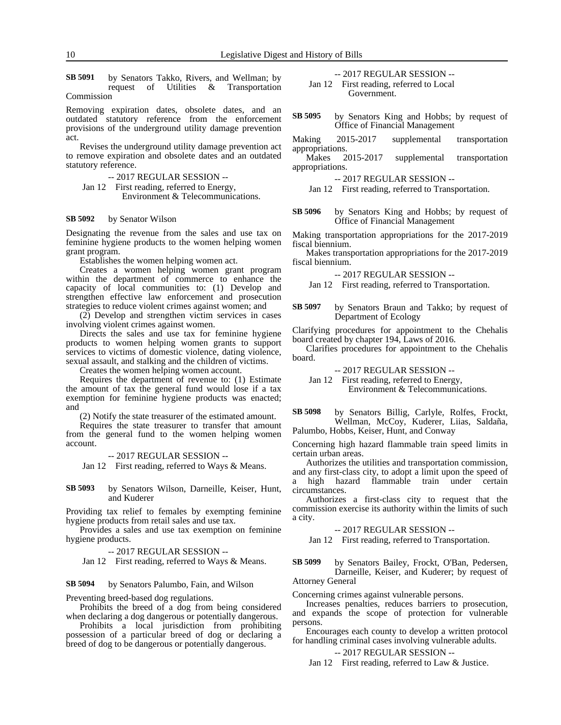by Senators Takko, Rivers, and Wellman; by request of Utilities & Transportation Commission **SB 5091**

Removing expiration dates, obsolete dates, and an outdated statutory reference from the enforcement provisions of the underground utility damage prevention act.

Revises the underground utility damage prevention act to remove expiration and obsolete dates and an outdated statutory reference.

-- 2017 REGULAR SESSION --

Jan 12 First reading, referred to Energy, Environment & Telecommunications.

## by Senator Wilson **SB 5092**

Designating the revenue from the sales and use tax on feminine hygiene products to the women helping women grant program.

Establishes the women helping women act.

Creates a women helping women grant program within the department of commerce to enhance the capacity of local communities to: (1) Develop and strengthen effective law enforcement and prosecution strategies to reduce violent crimes against women; and

(2) Develop and strengthen victim services in cases involving violent crimes against women.

Directs the sales and use tax for feminine hygiene products to women helping women grants to support services to victims of domestic violence, dating violence, sexual assault, and stalking and the children of victims.

Creates the women helping women account.

Requires the department of revenue to: (1) Estimate the amount of tax the general fund would lose if a tax exemption for feminine hygiene products was enacted; and

(2) Notify the state treasurer of the estimated amount.

Requires the state treasurer to transfer that amount from the general fund to the women helping women account.

-- 2017 REGULAR SESSION --

Jan 12 First reading, referred to Ways & Means.

by Senators Wilson, Darneille, Keiser, Hunt, and Kuderer **SB 5093**

Providing tax relief to females by exempting feminine hygiene products from retail sales and use tax.

Provides a sales and use tax exemption on feminine hygiene products.

-- 2017 REGULAR SESSION --

Jan 12 First reading, referred to Ways & Means.

## by Senators Palumbo, Fain, and Wilson **SB 5094**

Preventing breed-based dog regulations.

Prohibits the breed of a dog from being considered when declaring a dog dangerous or potentially dangerous.

Prohibits a local jurisdiction from prohibiting possession of a particular breed of dog or declaring a breed of dog to be dangerous or potentially dangerous.

-- 2017 REGULAR SESSION --

Jan 12 First reading, referred to Local Government.

by Senators King and Hobbs; by request of Office of Financial Management **SB 5095**

Making 2015-2017 supplemental transportation appropriations.

Makes 2015-2017 supplemental transportation appropriations.

-- 2017 REGULAR SESSION --

Jan 12 First reading, referred to Transportation.

by Senators King and Hobbs; by request of Office of Financial Management **SB 5096**

Making transportation appropriations for the 2017-2019 fiscal biennium.

Makes transportation appropriations for the 2017-2019 fiscal biennium.

-- 2017 REGULAR SESSION --

Jan 12 First reading, referred to Transportation.

by Senators Braun and Takko; by request of Department of Ecology **SB 5097**

Clarifying procedures for appointment to the Chehalis board created by chapter 194, Laws of 2016.

Clarifies procedures for appointment to the Chehalis board.

-- 2017 REGULAR SESSION --

Jan 12 First reading, referred to Energy, Environment & Telecommunications.

by Senators Billig, Carlyle, Rolfes, Frockt, Wellman, McCoy, Kuderer, Liias, Saldaña, Palumbo, Hobbs, Keiser, Hunt, and Conway **SB 5098**

Concerning high hazard flammable train speed limits in certain urban areas.

Authorizes the utilities and transportation commission,

and any first-class city, to adopt a limit upon the speed of a high hazard flammable train under certain circumstances.

Authorizes a first-class city to request that the commission exercise its authority within the limits of such a city.

-- 2017 REGULAR SESSION --

Jan 12 First reading, referred to Transportation.

by Senators Bailey, Frockt, O'Ban, Pedersen, Darneille, Keiser, and Kuderer; by request of Attorney General **SB 5099**

Concerning crimes against vulnerable persons.

Increases penalties, reduces barriers to prosecution, and expands the scope of protection for vulnerable persons.

Encourages each county to develop a written protocol for handling criminal cases involving vulnerable adults.

-- 2017 REGULAR SESSION --

Jan 12 First reading, referred to Law & Justice.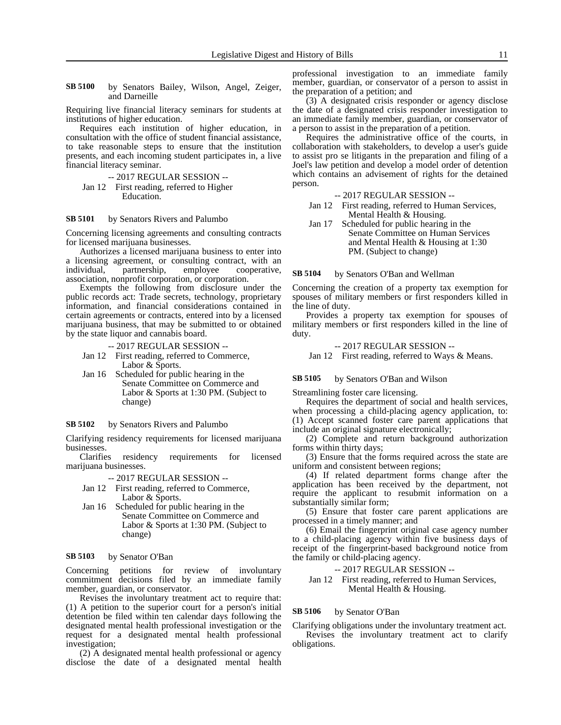by Senators Bailey, Wilson, Angel, Zeiger, and Darneille **SB 5100**

Requiring live financial literacy seminars for students at institutions of higher education.

Requires each institution of higher education, in consultation with the office of student financial assistance, to take reasonable steps to ensure that the institution presents, and each incoming student participates in, a live financial literacy seminar.

-- 2017 REGULAR SESSION --

Jan 12 First reading, referred to Higher Education.

### by Senators Rivers and Palumbo **SB 5101**

Concerning licensing agreements and consulting contracts for licensed marijuana businesses.

Authorizes a licensed marijuana business to enter into a licensing agreement, or consulting contract, with an individual, partnership, employee cooperative, association, nonprofit corporation, or corporation.

Exempts the following from disclosure under the public records act: Trade secrets, technology, proprietary information, and financial considerations contained in certain agreements or contracts, entered into by a licensed marijuana business, that may be submitted to or obtained by the state liquor and cannabis board.

-- 2017 REGULAR SESSION --

- Jan 12 First reading, referred to Commerce, Labor & Sports.
- Jan 16 Scheduled for public hearing in the Senate Committee on Commerce and Labor & Sports at 1:30 PM. (Subject to change)

by Senators Rivers and Palumbo **SB 5102**

Clarifying residency requirements for licensed marijuana businesses.

Clarifies residency requirements for licensed marijuana businesses.

-- 2017 REGULAR SESSION --

- Jan 12 First reading, referred to Commerce, Labor & Sports.
- Jan 16 Scheduled for public hearing in the Senate Committee on Commerce and Labor & Sports at 1:30 PM. (Subject to change)

## by Senator O'Ban **SB 5103**

Concerning petitions for review of involuntary commitment decisions filed by an immediate family member, guardian, or conservator.

Revises the involuntary treatment act to require that: (1) A petition to the superior court for a person's initial detention be filed within ten calendar days following the designated mental health professional investigation or the request for a designated mental health professional investigation;

(2) A designated mental health professional or agency disclose the date of a designated mental health professional investigation to an immediate family member, guardian, or conservator of a person to assist in the preparation of a petition; and

(3) A designated crisis responder or agency disclose the date of a designated crisis responder investigation to an immediate family member, guardian, or conservator of a person to assist in the preparation of a petition.

Requires the administrative office of the courts, in collaboration with stakeholders, to develop a user's guide to assist pro se litigants in the preparation and filing of a Joel's law petition and develop a model order of detention which contains an advisement of rights for the detained person.

-- 2017 REGULAR SESSION --

- Jan 12 First reading, referred to Human Services, Mental Health & Housing.
- Jan 17 Scheduled for public hearing in the Senate Committee on Human Services and Mental Health & Housing at 1:30 PM. (Subject to change)

by Senators O'Ban and Wellman **SB 5104**

Concerning the creation of a property tax exemption for spouses of military members or first responders killed in the line of duty.

Provides a property tax exemption for spouses of military members or first responders killed in the line of duty.

-- 2017 REGULAR SESSION --

Jan 12 First reading, referred to Ways & Means.

#### by Senators O'Ban and Wilson **SB 5105**

Streamlining foster care licensing.

Requires the department of social and health services, when processing a child-placing agency application, to: (1) Accept scanned foster care parent applications that include an original signature electronically;

(2) Complete and return background authorization forms within thirty days;

(3) Ensure that the forms required across the state are uniform and consistent between regions;

(4) If related department forms change after the application has been received by the department, not require the applicant to resubmit information on a substantially similar form;

(5) Ensure that foster care parent applications are processed in a timely manner; and

(6) Email the fingerprint original case agency number to a child-placing agency within five business days of receipt of the fingerprint-based background notice from the family or child-placing agency.

-- 2017 REGULAR SESSION --

Jan 12 First reading, referred to Human Services, Mental Health & Housing.

## by Senator O'Ban **SB 5106**

Clarifying obligations under the involuntary treatment act. Revises the involuntary treatment act to clarify obligations.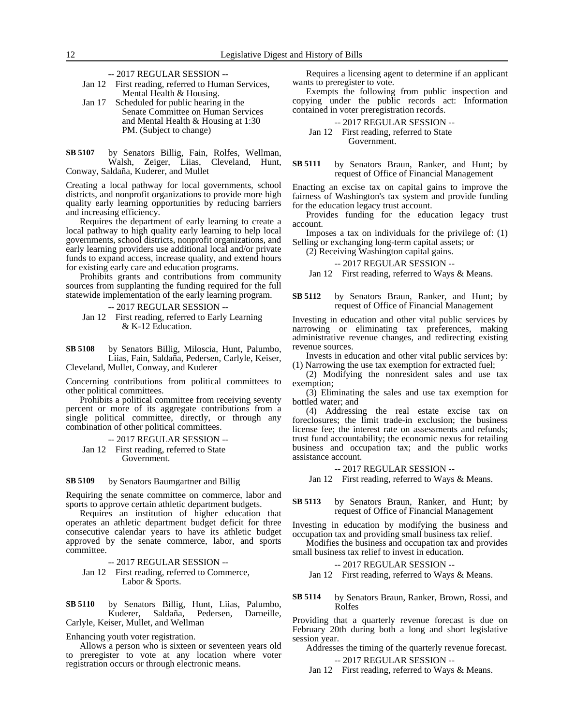- -- 2017 REGULAR SESSION --
- Jan 12 First reading, referred to Human Services, Mental Health & Housing.
- Jan 17 Scheduled for public hearing in the Senate Committee on Human Services and Mental Health & Housing at 1:30 PM. (Subject to change)
- by Senators Billig, Fain, Rolfes, Wellman, Walsh, Zeiger, Liias, Cleveland, Hunt, Conway, Saldaña, Kuderer, and Mullet **SB 5107**

Creating a local pathway for local governments, school districts, and nonprofit organizations to provide more high quality early learning opportunities by reducing barriers and increasing efficiency.

Requires the department of early learning to create a local pathway to high quality early learning to help local governments, school districts, nonprofit organizations, and early learning providers use additional local and/or private funds to expand access, increase quality, and extend hours for existing early care and education programs.

Prohibits grants and contributions from community sources from supplanting the funding required for the full statewide implementation of the early learning program.

-- 2017 REGULAR SESSION --

Jan 12 First reading, referred to Early Learning & K-12 Education.

by Senators Billig, Miloscia, Hunt, Palumbo, Liias, Fain, Saldaña, Pedersen, Carlyle, Keiser, Cleveland, Mullet, Conway, and Kuderer **SB 5108**

Concerning contributions from political committees to other political committees.

Prohibits a political committee from receiving seventy percent or more of its aggregate contributions from a single political committee, directly, or through any combination of other political committees.

-- 2017 REGULAR SESSION --

Jan 12 First reading, referred to State Government.

## by Senators Baumgartner and Billig **SB 5109**

Requiring the senate committee on commerce, labor and sports to approve certain athletic department budgets.

Requires an institution of higher education that operates an athletic department budget deficit for three consecutive calendar years to have its athletic budget approved by the senate commerce, labor, and sports committee.

- -- 2017 REGULAR SESSION --
- Jan 12 First reading, referred to Commerce, Labor & Sports.
- by Senators Billig, Hunt, Liias, Palumbo,<br>Kuderer, Saldaña, Pedersen, Darneille, Kuderer, Saldaña, Pedersen, Darneille, Carlyle, Keiser, Mullet, and Wellman **SB 5110**

Enhancing youth voter registration.

Allows a person who is sixteen or seventeen years old to preregister to vote at any location where voter registration occurs or through electronic means.

Requires a licensing agent to determine if an applicant wants to preregister to vote.

Exempts the following from public inspection and copying under the public records act: Information contained in voter preregistration records.

-- 2017 REGULAR SESSION --

Jan 12 First reading, referred to State Government.

by Senators Braun, Ranker, and Hunt; by request of Office of Financial Management **SB 5111**

Enacting an excise tax on capital gains to improve the fairness of Washington's tax system and provide funding for the education legacy trust account.

Provides funding for the education legacy trust account.

Imposes a tax on individuals for the privilege of: (1) Selling or exchanging long-term capital assets; or

(2) Receiving Washington capital gains.

# -- 2017 REGULAR SESSION --

Jan 12 First reading, referred to Ways & Means.

by Senators Braun, Ranker, and Hunt; by request of Office of Financial Management **SB 5112**

Investing in education and other vital public services by narrowing or eliminating tax preferences, making administrative revenue changes, and redirecting existing revenue sources.

Invests in education and other vital public services by: (1) Narrowing the use tax exemption for extracted fuel;

(2) Modifying the nonresident sales and use tax exemption;

(3) Eliminating the sales and use tax exemption for bottled water; and

(4) Addressing the real estate excise tax on foreclosures; the limit trade-in exclusion; the business license fee; the interest rate on assessments and refunds; trust fund accountability; the economic nexus for retailing business and occupation tax; and the public works assistance account.

-- 2017 REGULAR SESSION --

Jan 12 First reading, referred to Ways & Means.

by Senators Braun, Ranker, and Hunt; by request of Office of Financial Management **SB 5113**

Investing in education by modifying the business and occupation tax and providing small business tax relief.

Modifies the business and occupation tax and provides small business tax relief to invest in education.

-- 2017 REGULAR SESSION --

Jan 12 First reading, referred to Ways & Means.

by Senators Braun, Ranker, Brown, Rossi, and Rolfes **SB 5114**

Providing that a quarterly revenue forecast is due on February 20th during both a long and short legislative session year.

Addresses the timing of the quarterly revenue forecast.

-- 2017 REGULAR SESSION --

Jan 12 First reading, referred to Ways & Means.